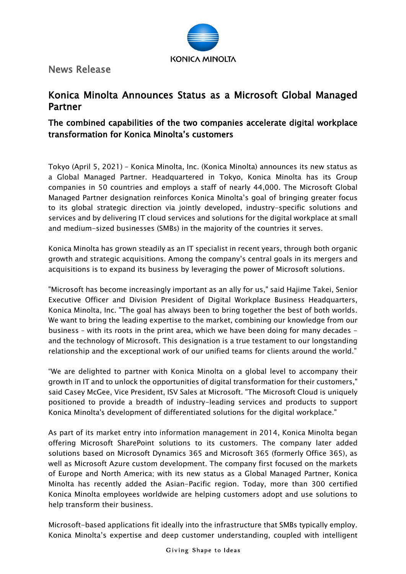

News Release

## Konica Minolta Announces Status as a Microsoft Global Managed Partner

## The combined capabilities of the two companies accelerate digital workplace transformation for Konica Minolta's customers

Tokyo (April 5, 2021) – Konica Minolta, Inc. (Konica Minolta) announces its new status as a Global Managed Partner. Headquartered in Tokyo, Konica Minolta has its Group companies in 50 countries and employs a staff of nearly 44,000. The Microsoft Global Managed Partner designation reinforces Konica Minolta's goal of bringing greater focus to its global strategic direction via jointly developed, industry-specific solutions and services and by delivering IT cloud services and solutions for the digital workplace at small and medium-sized businesses (SMBs) in the majority of the countries it serves.

Konica Minolta has grown steadily as an IT specialist in recent years, through both organic growth and strategic acquisitions. Among the company's central goals in its mergers and acquisitions is to expand its business by leveraging the power of Microsoft solutions.

"Microsoft has become increasingly important as an ally for us," said Hajime Takei, Senior Executive Officer and Division President of Digital Workplace Business Headquarters, Konica Minolta, Inc. "The goal has always been to bring together the best of both worlds. We want to bring the leading expertise to the market, combining our knowledge from our business – with its roots in the print area, which we have been doing for many decades and the technology of Microsoft. This designation is a true testament to our longstanding relationship and the exceptional work of our unified teams for clients around the world."

"We are delighted to partner with Konica Minolta on a global level to accompany their growth in IT and to unlock the opportunities of digital transformation for their customers," said Casey McGee, Vice President, ISV Sales at Microsoft. "The Microsoft Cloud is uniquely positioned to provide a breadth of industry-leading services and products to support Konica Minolta's development of differentiated solutions for the digital workplace."

As part of its market entry into information management in 2014, Konica Minolta began offering Microsoft SharePoint solutions to its customers. The company later added solutions based on Microsoft Dynamics 365 and Microsoft 365 (formerly Office 365), as well as Microsoft Azure custom development. The company first focused on the markets of Europe and North America; with its new status as a Global Managed Partner, Konica Minolta has recently added the Asian-Pacific region. Today, more than 300 certified Konica Minolta employees worldwide are helping customers adopt and use solutions to help transform their business.

Microsoft-based applications fit ideally into the infrastructure that SMBs typically employ. Konica Minolta's expertise and deep customer understanding, coupled with intelligent